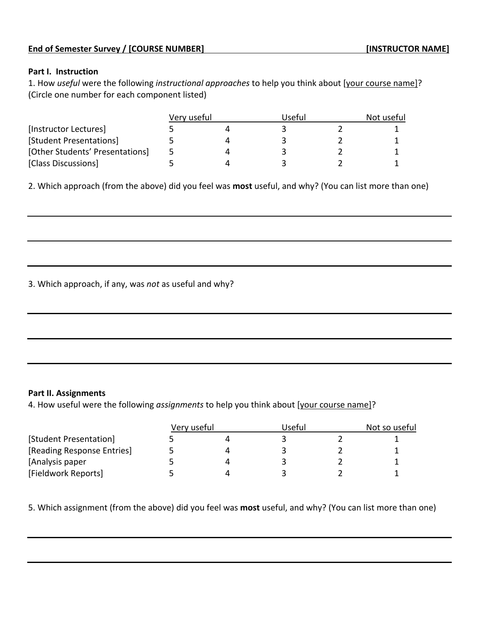## **Part I. Instruction**

1. How *useful* were the following *instructional approaches* to help you think about [your course name]? (Circle one number for each component listed)

| [Instructor Lectures]           | Very useful |  | Useful |  | Not useful |  |
|---------------------------------|-------------|--|--------|--|------------|--|
|                                 |             |  |        |  |            |  |
| [Student Presentations]         |             |  |        |  |            |  |
| [Other Students' Presentations] | ∽           |  |        |  |            |  |
| [Class Discussions]             |             |  |        |  |            |  |

2. Which approach (from the above) did you feel was **most** useful, and why? (You can list more than one)

3. Which approach, if any, was *not* as useful and why?

## **Part II. Assignments**

4. How useful were the following *assignments* to help you think about [your course name]?

| [Student Presentation]     | Very useful |  | Useful |  | Not so useful |  |
|----------------------------|-------------|--|--------|--|---------------|--|
|                            |             |  |        |  |               |  |
| [Reading Response Entries] |             |  |        |  |               |  |
| [Analysis paper            |             |  |        |  |               |  |
| [Fieldwork Reports]        |             |  |        |  |               |  |

5. Which assignment (from the above) did you feel was **most** useful, and why? (You can list more than one)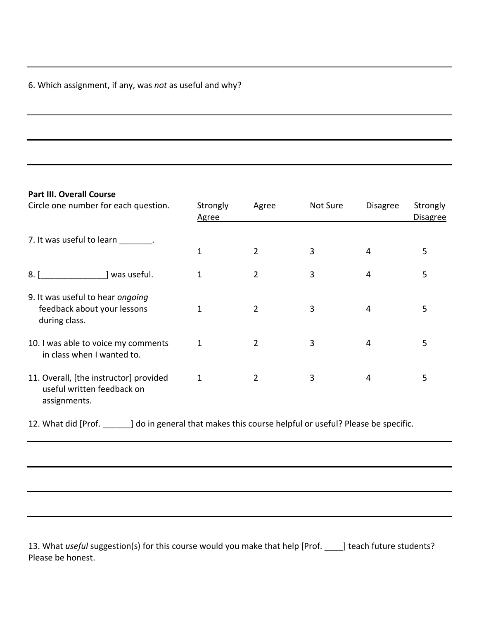## 6. Which assignment, if any, was *not* as useful and why?

## **Part III. Overall Course**

| Circle one number for each question.                                                              | Strongly<br><b>Agree</b> | Agree          | Not Sure | <b>Disagree</b> | Strongly<br><b>Disagree</b> |
|---------------------------------------------------------------------------------------------------|--------------------------|----------------|----------|-----------------|-----------------------------|
| 7. It was useful to learn .                                                                       |                          |                |          |                 |                             |
|                                                                                                   | 1                        | $\overline{2}$ | 3        | 4               | 5                           |
| ] was useful.<br>8.1                                                                              | 1                        | $\overline{2}$ | 3        | 4               | 5                           |
| 9. It was useful to hear ongoing<br>feedback about your lessons<br>during class.                  | $\mathbf{1}$             | $\overline{2}$ | 3        | 4               | 5                           |
| 10. I was able to voice my comments<br>in class when I wanted to.                                 | 1                        | $\overline{2}$ | 3        | 4               | 5                           |
| 11. Overall, [the instructor] provided<br>useful written feedback on<br>assignments.              | 1                        | $\overline{2}$ | 3        | 4               | 5                           |
| 12. What did [Prof. ] do in general that makes this course helpful or useful? Please be specific. |                          |                |          |                 |                             |

13. What *useful* suggestion(s) for this course would you make that help [Prof. \_\_\_\_] teach future students? Please be honest.